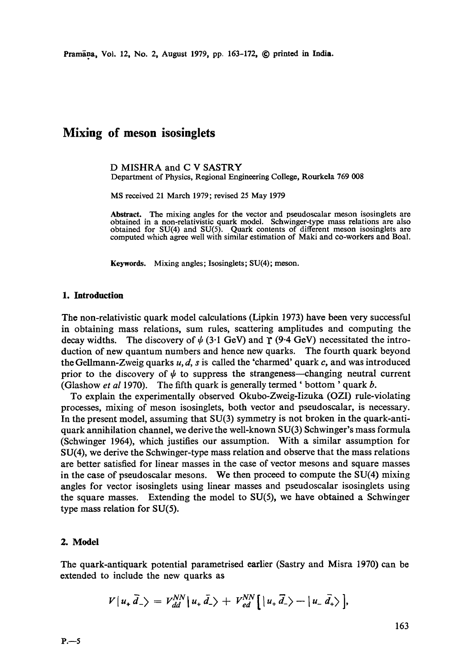Pramana, Vol. 12, No. 2, August 1979, pp. 163-172, © printed in India.

# **Mixing of meson isosinglets**

D MISHRA and C V SASTRY Department of Physics, Regional Engineering College, Rourkela 769 008

MS received 21 March 1979; revised 25 May 1979

**Abstract.** The mixing angles for the vector and pseudoscalar meson isosingiets are obtained in a non-relativistic quark model. Schwinger-type mass relations are also obtained for SU(4) and SU(5). Quark contents of different meson isosinglets are computed which agree well with similar estimation of Maki and co-workers and Boal.

Keywords. Mixing angles; Isosinglets; SU(4); meson.

### **1. Introduction**

The non-relativistic quark model calculations (Lipkin 1973) have been very successful in obtaining mass relations, sum rules, scattering amplitudes and computing the decay widths. The discovery of  $\psi$  (3.1 GeV) and  $\Upsilon$  (9.4 GeV) necessitated the introduction of new quantum numbers and hence new quarks. The fourth quark beyond the Gellmann-Zweig quarks  $u, d, s$  is called the 'charmed' quark c, and was introduced prior to the discovery of  $\psi$  to suppress the strangeness—changing neutral current (Glashow *et al* 1970). The fifth quark is generally termed' bottom ' quark b.

To explain the experimentally observed Okubo-Zweig-Iizuka (OZI) rule-violating processes, mixing of meson isosinglets, both vector and pseudoscalar, is necessary. In the present model, assuming that SU(3) symmetry is not broken in the quark-antiquark annihilation channel, we derive the well-known SU(3) Schwinger's mass formula (Schwinger 1964), which justifies our assumption. With a similar assumption for SU(4), we derive the Schwinger-type mass relation and observe that the mass relations are better satisfied for linear masses in the case of vector mesons and square masses in the case of pseudoscalar mesons. We then proceed to compute the SU(4) mixing angles for vector isosinglets using linear masses and pseudoscalar isosinglets using the square masses. Extending the model to SU(5), we have obtained a Schwinger type mass relation for SU(5).

### 2. Model

The quark-antiquark potential parametrised earlier (Sastry and Misra 1970) can be extended to include the new quarks as

$$
V|u_{+}\vec{d}_{-}\rangle = V_{dd}^{NN} |u_{+}\vec{d}_{-}\rangle + V_{ed}^{NN} [u_{+}\vec{d}_{-}\rangle - |u_{-}\vec{d}_{+}\rangle],
$$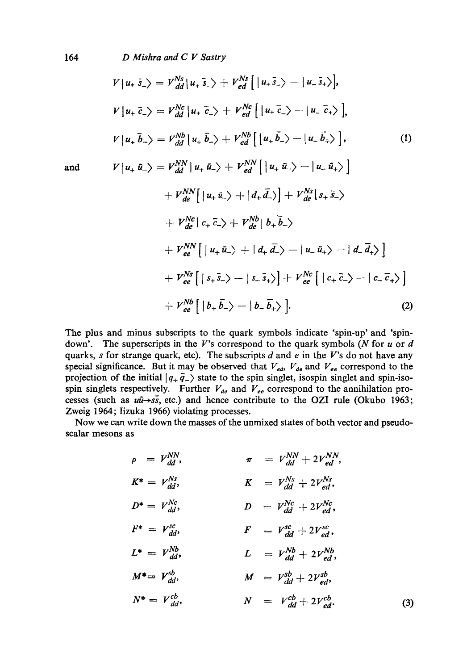164 *D Mishra and C V Sastry* 

$$
V|u_{+} \bar{s}_{-}\rangle = V_{dd}^{Ns}|u_{+} \bar{s}_{-}\rangle + V_{ed}^{Ns} [ |u_{+} \bar{s}_{-}\rangle - |u_{-} \bar{s}_{+}\rangle],
$$
  
\n
$$
V|u_{+} \bar{c}_{-}\rangle = V_{dd}^{Nc}|u_{+} \bar{c}_{-}\rangle + V_{ed}^{Nc} [ |u_{+} \bar{c}_{-}\rangle - |u_{-} \bar{c}_{+}\rangle ],
$$
  
\n
$$
V|u_{+} \bar{b}_{-}\rangle = V_{dd}^{Nb}|u_{+} \bar{b}_{-}\rangle + V_{ed}^{Nb} [ |u_{+} \bar{b}_{-}\rangle - |u_{-} \bar{b}_{+}\rangle ],
$$
  
\nand  
\n
$$
V|u_{+} \bar{u}_{-}\rangle = V_{dd}^{NN} |u_{+} \bar{u}_{-}\rangle + V_{ed}^{NN} [ |u_{+} \bar{u}_{-}\rangle - |u_{-} \bar{u}_{+}\rangle ]
$$
  
\n
$$
+ V_{de}^{NN} [ |u_{+} \bar{u}_{-}\rangle + |d_{+} \bar{d}_{-}\rangle ] + V_{de}^{Ns} |s_{+} \bar{s}_{-}\rangle
$$
  
\n
$$
+ V_{de}^{Nc} |c_{+} \bar{c}_{-}\rangle + V_{de}^{Nb} |b_{+} \bar{b}_{-}\rangle
$$
  
\n
$$
+ V_{ee}^{NN} [ |u_{+} \bar{u}_{-}\rangle + |d_{+} \bar{d}_{-}\rangle - |u_{-} \bar{u}_{+}\rangle - |d_{-} \bar{d}_{+}\rangle ]
$$
  
\n
$$
+ V_{ee}^{Ns} [ |s_{+} \bar{s}_{-}\rangle - |s_{-} \bar{s}_{+}\rangle ] + V_{ee}^{Nc} [ |c_{+} \bar{c}_{-}\rangle - |c_{-} \bar{c}_{+}\rangle ]
$$
  
\n
$$
+ V_{ee}^{Nb} [ |b_{+} \bar{b}_{-}\rangle - |b_{-} \bar{b}_{+}\rangle ].
$$
  
\n(2)

The plus and minus subscripts to the quark symbols indicate 'spin-up' and 'spindown'. The superscripts in the V's correspond to the quark symbols (N for  $u$  or  $d$ quarks, s for strange quark, etc). The subscripts d and e in the V's do not have any special significance. But it may be observed that  $V_{ed}$ ,  $V_{de}$  and  $V_{ee}$  correspond to the projection of the initial  $|q_+ \bar{q}_-\rangle$  state to the spin singlet, isospin singlet and spin-isospin singlets respectively. Further  $V_{de}$  and  $V_{ee}$  correspond to the annihilation processes (such as  $u\bar{u} \rightarrow s\bar{s}$ , etc.) and hence contribute to the OZI rule (Okubo 1963; Zweig 1964; Iizuka 1966) violating processes.

Now we can write down the masses of the unmixed states of both vector and pseudoscalar mesons as

$$
\rho = V_{dd}^{NN}, \qquad \pi = V_{dd}^{NN} + 2V_{ed}^{NN},
$$
\n
$$
K^* = V_{dd}^{Ns}, \qquad K = V_{dd}^{Ns} + 2V_{ed}^{Ns},
$$
\n
$$
D^* = V_{dd}^{Nc}, \qquad D = V_{dd}^{Nc} + 2V_{ed}^{Nc},
$$
\n
$$
F^* = V_{dd}^{sc}, \qquad F = V_{dd}^{sc} + 2V_{ed}^{sc},
$$
\n
$$
L^* = V_{dd}^{Nb}, \qquad L = V_{dd}^{Nb} + 2V_{ed}^{Nb},
$$
\n
$$
M^* = V_{dd}^{sb}, \qquad M = V_{dd}^{sb} + 2V_{ed}^{sb},
$$
\n
$$
N^* = V_{dd}^{cb}, \qquad N = V_{dd}^{cb} + 2V_{ed}^{cb}.
$$
\n(3)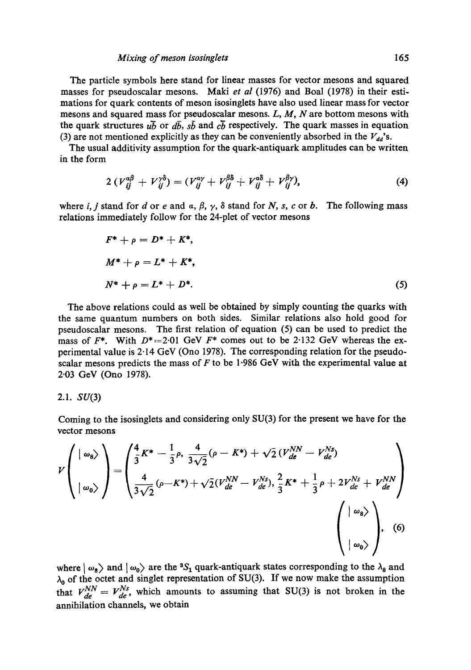#### *Mixing of meson isosinglets* I65

The particle symbols here stand for linear masses for vector mesons and squared masses for pseudoscalar mesons. Maki *et al* (1976) and Boal (1978) in their estimations for quark contents of meson isosinglets have also used linear mass for vector mesons and squared mass for pseudoscalar mesons.  $L$ ,  $M$ ,  $N$  are bottom mesons with the quark structures  $u\bar{b}$  or  $d\bar{b}$ ,  $s\bar{b}$  and  $c\bar{b}$  respectively. The quark masses in equation (3) are not mentioned explicitly as they can be conveniently absorbed in the  $V_{dd}$ 's.

The usual additivity assumption for the quark-antiquark amplitudes can be written in the form

$$
2\left(V_{ij}^{a\beta}+V_{ij}^{\gamma\delta}\right)=(V_{ij}^{a\gamma}+V_{ij}^{\beta\delta}+V_{ij}^{a\delta}+V_{ij}^{\beta\gamma}),\qquad(4)
$$

where i, j stand for d or e and  $\alpha$ ,  $\beta$ ,  $\gamma$ ,  $\delta$  stand for N, s, c or b. The following mass relations immediately follow for the 24-plet of vector mesons

$$
F^* + \rho = D^* + K^*,
$$
  
\n
$$
M^* + \rho = L^* + K^*,
$$
  
\n
$$
N^* + \rho = L^* + D^*.
$$
\n(5)

The above relations could as well be obtained by simply counting the quarks with the same quantum numbers on both sides. Similar relations also hold good for pseudoscalar mesons. The first relation of equation (5) can be used to predict the mass of  $F^*$ . With  $D^* = 2.01$  GeV  $F^*$  comes out to be 2.132 GeV whereas the experimental value is 2-14 GeV (Ono 1978). The corresponding relation for the pseudoscalar mesons predicts the mass of  $F$  to be 1.986 GeV with the experimental value at 2.03 GeV (Ono 1978).

### 2.1.  $SU(3)$

Coming to the isosinglets and considering only SU(3) for the present we have for the vector mesons

$$
V\left(\begin{array}{c}|\omega_{8}\rangle\\ |\omega_{0}\rangle\end{array}\right)=\left(\frac{\frac{4}{3}K^{*}-\frac{1}{3}\rho,\frac{4}{3\sqrt{2}}(\rho-K^{*})+\sqrt{2}(V_{de}^{NN}-V_{de}^{Ns})}{\frac{4}{3\sqrt{2}}(\rho-K^{*})+\sqrt{2}(V_{de}^{NN}-V_{de}^{Ns}),\frac{2}{3}K^{*}+\frac{1}{3}\rho+2V_{de}^{Ns}+V_{de}^{NN}\end{array}\right)\n\left(\begin{array}{c}|\omega_{8}\rangle\\ |\omega_{0}\rangle\end{array}\right),\n(6)
$$

where  $\vert \omega_8 \rangle$  and  $\vert \omega_0 \rangle$  are the <sup>3</sup>S<sub>1</sub> quark-antiquark states corresponding to the  $\lambda_8$  and  $\lambda_0$  of the octet and singlet representation of SU(3). If we now make the assumption that  $V_{de}^{NN} = V_{de}^{Ns}$ , which amounts to assuming that SU(3) is not broken in the annihilation channels, we obtain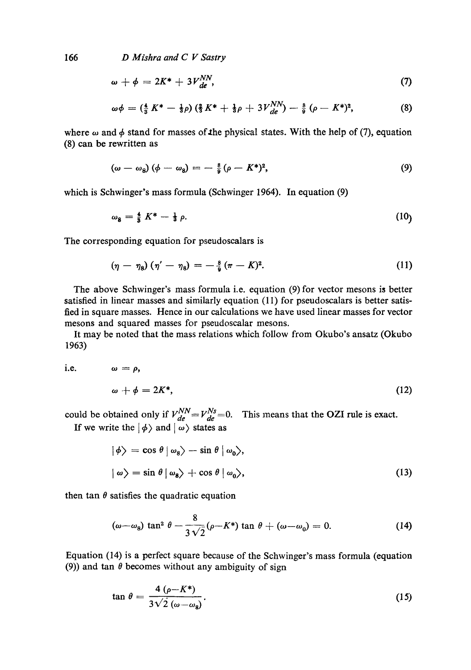166 *D Mishra and C V Sastry* 

$$
\omega + \phi = 2K^* + 3V_{de}^{NN}, \qquad (7)
$$

$$
\omega \phi = \left(\frac{4}{3} K^* - \frac{1}{3} \rho\right) \left(\frac{2}{3} K^* + \frac{1}{3} \rho + 3 V_{de}^{NN}\right) - \frac{8}{9} \left(\rho - K^*\right)^2, \tag{8}
$$

where  $\omega$  and  $\phi$  stand for masses of the physical states. With the help of (7), equation (8) can be rewritten as

$$
(\omega - \omega_8) (\phi - \omega_8) = -\frac{8}{9} (\rho - K^*)^2, \qquad (9)
$$

which is Schwinger's mass formula (Schwinger 1964). In equation (9)

$$
\omega_8 = \frac{4}{8} K^* - \frac{1}{3} \rho. \tag{10}
$$

The corresponding equation for pseudoscalars is

$$
(\eta - \eta_8) (\eta' - \eta_8) = -\frac{8}{9} (\pi - K)^2. \tag{11}
$$

The above Schwinger's mass formula i.e. equation  $(9)$  for vector mesons is better satisfied in linear masses and similarly equation (11) for pseudoscalars is better satisfied in square masses. Hence in our calculations we have used linear masses for vector mesons and squared masses for pseudoscalar mesons.

It may be noted that the mass relations which follow from Okubo's ansatz (Okubo 1963)

i.e. 
$$
\omega = \rho
$$
,  
\n $\omega + \phi = 2K^*$ , (12)

could be obtained only if  $V_{d\rho}^{NN} = V_{d\rho}^{NS} = 0$ . This means that the OZI rule is exact. If we write the  $|\phi\rangle$  and  $|\omega\rangle$  states as

$$
|\phi\rangle = \cos \theta \, |\omega_8\rangle - \sin \theta \, |\omega_0\rangle,
$$
  

$$
|\omega\rangle = \sin \theta \, |\omega_8\rangle + \cos \theta \, |\omega_0\rangle,
$$
 (13)

then tan  $\theta$  satisfies the quadratic equation

$$
(\omega - \omega_8) \tan^2 \theta - \frac{8}{3\sqrt{2}} (\rho - K^*) \tan \theta + (\omega - \omega_0) = 0. \tag{14}
$$

Equation (14) is a perfect square because of the Schwinger's mass formula (equation (9)) and tan  $\theta$  becomes without any ambiguity of sign

$$
\tan \theta = \frac{4 \left( \rho - K^* \right)}{3 \sqrt{2} \left( \omega - \omega_8 \right)}.
$$
\n(15)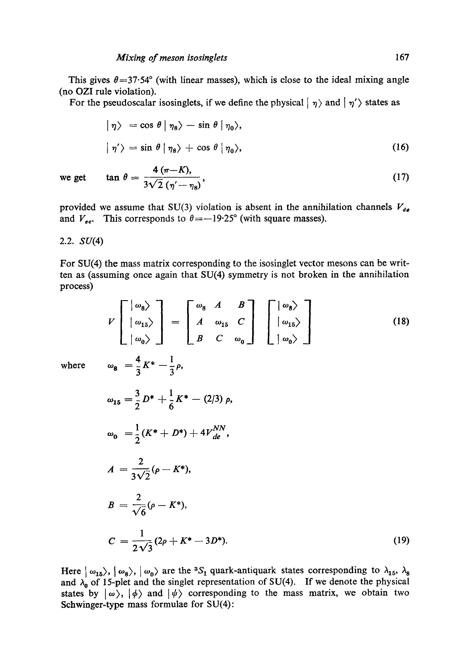This gives  $\theta = 37.54^{\circ}$  (with linear masses), which is close to the ideal mixing angle (no OZI rule violation).

For the pseudoscalar isosinglets, if we define the physical  $|\eta\rangle$  and  $|\eta\rangle$  states as

$$
|\eta\rangle = \cos \theta |\eta_8\rangle - \sin \theta |\eta_0\rangle,
$$
  

$$
|\eta'\rangle = \sin \theta |\eta_8\rangle + \cos \theta |\eta_0\rangle,
$$
 (16)

we get 
$$
\tan \theta = \frac{4 (\pi - K)}{3\sqrt{2} (\eta' - \eta_8)},
$$
 (17)

provided we assume that SU(3) violation is absent in the annihilation channels  $V_{de}$ and  $V_{ee}$ . This corresponds to  $\theta = -19.25^{\circ}$  (with square masses).

## 2.2. SU(4)

For SU(4) the mass matrix corresponding to the isosinglet vector mesons can be written as (assuming once again that SU(4) symmetry is not broken in the annihilation process)

$$
V\begin{bmatrix} \omega_8 \\ \omega_{15} \end{bmatrix} = \begin{bmatrix} \omega_8 & A & B \\ A & \omega_{15} & C \\ B & C & \omega_0 \end{bmatrix} \begin{bmatrix} \omega_8 \\ \omega_{15} \end{bmatrix}
$$
(18)  
where 
$$
\omega_8 = \frac{4}{3}K^* - \frac{1}{3}\rho,
$$

$$
\omega_{15} = \frac{3}{2}D^* + \frac{1}{6}K^* - (2/3)\rho,
$$

$$
\omega_0 = \frac{1}{2}(K^* + D^*) + 4V_{de}^{NN},
$$

$$
A = \frac{2}{3\sqrt{2}}(\rho - K^*),
$$

$$
B = \frac{2}{\sqrt{6}}(\rho - K^*),
$$

$$
C = \frac{1}{2\sqrt{3}}(2\rho + K^* - 3D^*).
$$
(19)

Here  $\vert \omega_{15}\rangle$ ,  $\vert \omega_8\rangle$ ,  $\vert \omega_0\rangle$  are the <sup>3</sup>S<sub>1</sub> quark-antiquark states corresponding to  $\lambda_{15}$ ,  $\lambda_8$ and  $\lambda_0$  of 15-plet and the singlet representation of SU(4). If we denote the physical states by  $|\omega\rangle$ ,  $|\phi\rangle$  and  $|\psi\rangle$  corresponding to the mass matrix, we obtain two Schwinger-type mass formulae for SU(4):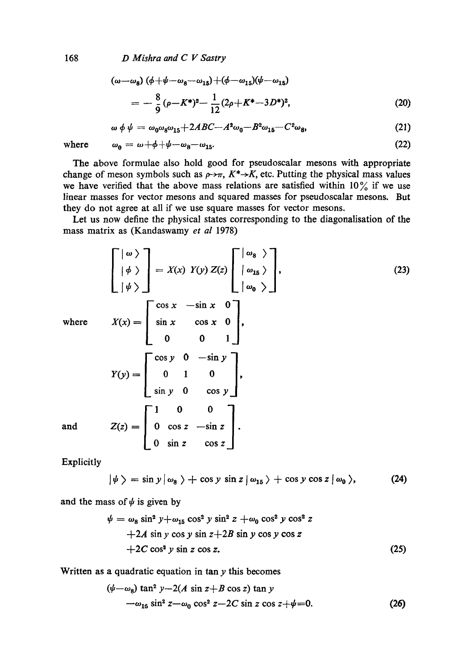168 *D Mishra and C V Sastry* 

$$
(\omega - \omega_8) (\phi + \psi - \omega_8 - \omega_{15}) + (\phi - \omega_{15})(\psi - \omega_{15})
$$
  
=  $-\frac{8}{9} (\rho - K^*)^2 - \frac{1}{12} (2\rho + K^* - 3D^*)^2,$  (20)

$$
\omega \phi \psi = \omega_0 \omega_8 \omega_{15} + 2ABC - A^2 \omega_0 - B^2 \omega_{15} - C^2 \omega_8, \tag{21}
$$

where  $\omega_0 = \omega + \phi + \psi - \omega_8 - \omega_{15}$ . (22)

The above formulae also hold good for pseudoscalar mesons with appropriate change of meson symbols such as  $\rho \rightarrow \pi$ ,  $K^* \rightarrow K$ , etc. Putting the physical mass values we have verified that the above mass relations are satisfied within  $10\%$  if we use linear masses for vector mesons and squared masses for pseudoscalar mesons. But they do not agree at all if we use square masses for vector mesons.

Let us now define the physical states corresponding to the diagonalisation of the mass matrix as (Kandaswamy *et al* 1978)

$$
\begin{bmatrix}\n\vert \omega \rangle \\
\vert \phi \rangle \\
\vert \psi \rangle\n\end{bmatrix} = X(x) Y(y) Z(z) \begin{bmatrix}\n\vert \omega_{\mathbf{s}} \rangle \\
\vert \omega_{\mathbf{u}} \rangle\n\end{bmatrix},
$$
\nwhere\n
$$
X(x) = \begin{bmatrix}\n\cos x & -\sin x & 0 \\
\sin x & \cos x & 0 \\
0 & 0 & 1\n\end{bmatrix},
$$
\n
$$
Y(y) = \begin{bmatrix}\n\cos y & 0 & -\sin y \\
0 & 1 & 0 \\
\sin y & 0 & \cos y\n\end{bmatrix},
$$
\nand\n
$$
Z(z) = \begin{bmatrix}\n1 & 0 & 0 \\
0 & \cos z & -\sin z \\
0 & \sin z & \cos z\n\end{bmatrix}.
$$
\n(23)

Explicitly

$$
|\psi\rangle = \sin y |\omega_8\rangle + \cos y \sin z |\omega_{15}\rangle + \cos y \cos z |\omega_0\rangle, \qquad (24)
$$

and the mass of  $\psi$  is given by

$$
\psi = \omega_8 \sin^2 y + \omega_{15} \cos^2 y \sin^2 z + \omega_0 \cos^2 y \cos^2 z
$$
  
+2A sin y cos y sin z+2B sin y cos y cos z  
+2C cos<sup>2</sup> y sin z cos z. (25)

Written as a quadratic equation in tan  $y$  this becomes

$$
(\psi - \omega_8) \tan^2 y - 2(A \sin z + B \cos z) \tan y
$$
  
- $\omega_{15} \sin^2 z - \omega_0 \cos^2 z - 2C \sin z \cos z + \psi = 0.$  (26)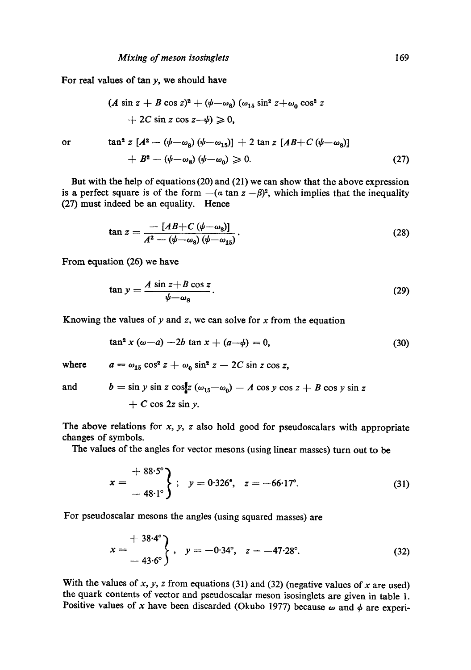For real values of tan  $y$ , we should have

$$
(A \sin z + B \cos z)^2 + (\psi - \omega_8) (\omega_{15} \sin^2 z + \omega_0 \cos^2 z + 2C \sin z \cos z - \psi) \ge 0,
$$
  
or 
$$
\tan^2 z [A^2 - (\psi - \omega_8) (\psi - \omega_{15})] + 2 \tan z [AB + C (\psi - \omega_8)] + B^2 - (\psi - \omega_8) (\psi - \omega_0) \ge 0.
$$
 (27)

But with the help of equations (20) and (21) we can show that the above expression is a perfect square is of the form  $-(a \tan z - \beta)^2$ , which implies that the inequality (27) must indeed he an equality. Hence

$$
\tan z = \frac{-[AB+C(\psi-\omega_8)]}{A^2-(\psi-\omega_8)(\psi-\omega_{15})}.
$$
\n(28)

From equation (26) we have

$$
\tan y = \frac{A \sin z + B \cos z}{\psi - \omega_8}.
$$
\n(29)

Knowing the values of  $y$  and  $z$ , we can solve for  $x$  from the equation

$$
\tan^2 x (\omega - a) - 2b \tan x + (a - \phi) = 0,
$$
 (30)

where  $a = \omega_{15} \cos^2 z + \omega_0 \sin^2 z - 2C \sin z \cos z$ ,

and  $b = \sin y \sin z \cos z \left(\omega_{15}-\omega_0\right) - A \cos y \cos z + B \cos y \sin z$ 

$$
+ C \cos 2z \sin y.
$$

The above relations for  $x$ ,  $y$ ,  $z$  also hold good for pseudoscalars with appropriate changes of symbols.

The values of the angles for vector mesons (using linear masses) turn out to be

$$
x = \frac{+ 88.5^{\circ}}{-48.1^{\circ}}; \quad y = 0.326^{\circ}, \quad z = -66.17^{\circ}.
$$
 (31)

For pseudoscalar mesons the angles (using squared masses) are

$$
x = \frac{+38.4^{\circ}}{-43.6^{\circ}} \t{, y = -0.34^{\circ}, z = -47.28^{\circ}.}
$$
 (32)

With the values of x, y, z from equations (31) and (32) (negative values of x are used) the quark contents of vector and pseudoscalar meson isosinglets are given in table 1. Positive values of x have been discarded (Okubo 1977) because  $\omega$  and  $\phi$  are experi-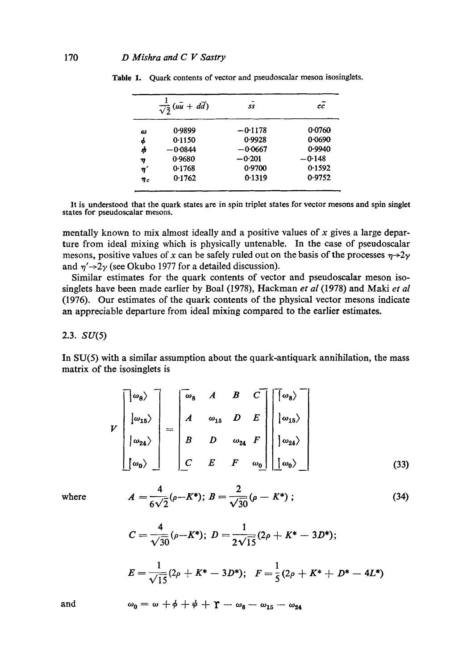|               | $\overline{\sqrt{2}}$ (uu + dd) | 55        | сc       |
|---------------|---------------------------------|-----------|----------|
| ω             | 0.9899                          | $-0.1178$ | 0.0760   |
| φ             | 0.1150                          | 0.9928    | 0.0690   |
| φ             | $-0.0844$                       | $-0.0667$ | 0.9940   |
| η             | 0.9680                          | $-0.201$  | $-0.148$ |
| $\pmb{\eta}'$ | 0.1768                          | 0.9700    | 0.1592   |
| $\eta_c$      | 0.1762                          | 0.1319    | 0.9752   |

Table 1. Quark contents of vector and pseudoscalar meson isosinglets.

It is understood that the quark states are in spin triplet states for vector mesons and spin singlet states for pseudoscalar mesons.

mentally known to mix almost ideally and a positive values of  $x$  gives a large departure from ideal mixing which is physically untenable. In the case of pseudoscalar mesons, positive values of x can be safely ruled out on the basis of the processes  $\eta \rightarrow 2\gamma$ and  $\eta' \rightarrow 2\gamma$  (see Okubo 1977 for a detailed discussion).

Similar estimates for the quark contents of vector and pseudoscalar meson isosinglets have been made earlier by Boal (1978), Hackman *et al* (1978) and Maki *et al*  (1976). Our estimates of the quark contents of the physical vector mesons indicate an appreciable departure from ideal mixing compared to the earlier estimates.

### 2.3.  $SU(5)$

In SU(5) with a similar assumption about the quark-antiquark annihilation, the mass matrix of the isosinglets is

$$
V\begin{bmatrix}\n\omega_8 \\
\omega_{15}\n\end{bmatrix} = \begin{bmatrix}\n\omega_8 & A & B & C \\
A & \omega_{15} & D & E \\
B & D & \omega_{24} & F \\
C & E & F & \omega_0\n\end{bmatrix} \begin{bmatrix}\n\omega_8 \\
\omega_{15}\n\end{bmatrix}
$$
\n
$$
\begin{bmatrix}\n\omega_{24}\n\end{bmatrix} = \begin{bmatrix}\nB & C & C \\
B & D & \omega_{24} & F \\
C & E & F & \omega_0\n\end{bmatrix} \begin{bmatrix}\n\omega_{24}\n\end{bmatrix}
$$
\n(33)

where

$$
A = \frac{4}{6\sqrt{2}} (\rho - K^*); B = \frac{2}{\sqrt{30}} (\rho - K^*);
$$
 (34)

$$
C=\frac{4}{\sqrt{30}}(\rho-K^*); D=\frac{1}{2\sqrt{15}}(2\rho+K^*-3D^*);
$$

$$
E=\frac{1}{\sqrt{15}}(2\rho+K^*-3D^*); \quad F=\frac{1}{5}(2\rho+K^*+D^*-4L^*)
$$

and 
$$
\omega_0 = \omega + \phi + \psi + \gamma - \omega_8 - \omega_{15} - \omega_{24}
$$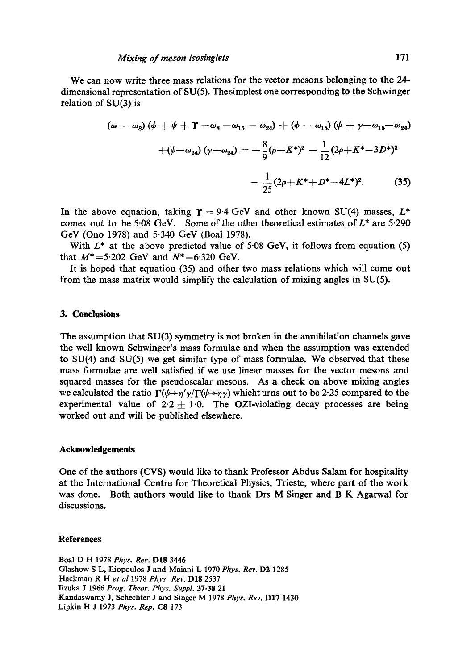We can now write three mass relations for the vector mesons belonging to the 24 dimensional representation of SU(5). The simplest one corresponding to the Schwinger relation of SU(3) is

$$
(\omega - \omega_8)(\phi + \psi + \Upsilon - \omega_8 - \omega_{15} - \omega_{24}) + (\phi - \omega_{15})(\psi + \gamma - \omega_{15} - \omega_{24})
$$

$$
+(\psi - \omega_{24})(\gamma - \omega_{24}) = -\frac{8}{9}(\rho - K^*)^2 - \frac{1}{12}(2\rho + K^* - 3D^*)^2
$$

$$
-\frac{1}{25}(2\rho + K^* + D^* - 4L^*)^2. \tag{35}
$$

In the above equation, taking  $\Upsilon = 9.4$  GeV and other known SU(4) masses,  $L^*$ comes out to be 5.08 GeV. Some of the other theoretical estimates of  $L^*$  are 5.290 GeV (Ono 1978) and 5.340 GeV (Boal 1978).

With  $L^*$  at the above predicted value of 5.08 GeV, it follows from equation (5) that  $M^* = 5.202$  GeV and  $N^* = 6.320$  GeV.

It is hoped that equation (35) and other two mass relations which will come out from the mass matrix would simplify the calculation of mixing angles in SU(5).

### **3. Conclusions**

The assumption that SU(3) symmetry is not broken in the annihilation channels gave the well known Schwinger's mass formulae and when the assumption was extended to SU(4) and SU(5) we get similar type of mass formulae. We observed that these mass formulae are well satisfied if we use linear masses for the vector mesons and squared masses for the pseudoscalar mesons. As a check on above mixing angles we calculated the ratio  $\Gamma(\psi \rightarrow \eta' \gamma/\Gamma(\psi \rightarrow \eta \gamma))$  whicht urns out to be 2.25 compared to the experimental value of  $2.2 \pm 1.0$ . The OZI-violating decay processes are being worked out and will be published elsewhere.

### **Acknowledgements**

One of the authors (CVS) would like to thank Professor Abdus Salam for hospitality at the International Centre for Theoretical Physics, Trieste, where part of the work was done. Both authors would like to thank Drs M Singer and B K Agarwal for discussions.

### **References**

Boal D H 1978 *Phys. Rev.* DI8 3446 Glashow S L, Iliopoulos J and Maiani L 1970 *Phys. Rev.* D2 1285 Hackman R H *et al* 1978 *Phys. Rev.* D18 2537 Iizuka J 1966 *Prog. Theor. Phys. Suppl.* 37-38 21 Kandaswamy J, Schechter J and Singer M 1978 *Phys. Rev.* D17 1430 Lipkin H J 1973 *Phys. Rep.* C8 173